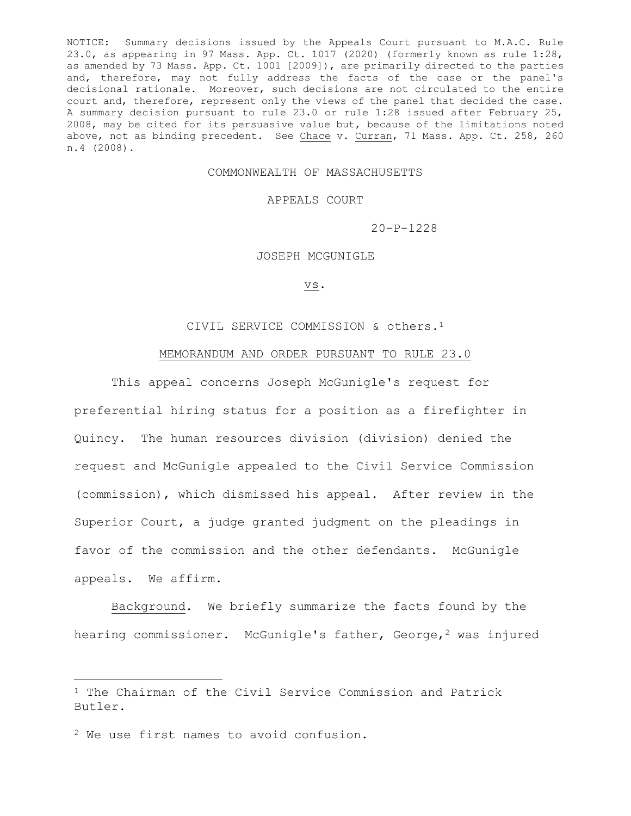NOTICE: Summary decisions issued by the Appeals Court pursuant to M.A.C. Rule 23.0, as appearing in 97 Mass. App. Ct. 1017 (2020) (formerly known as rule 1:28, as amended by 73 Mass. App. Ct. 1001 [2009]), are primarily directed to the parties and, therefore, may not fully address the facts of the case or the panel's decisional rationale. Moreover, such decisions are not circulated to the entire court and, therefore, represent only the views of the panel that decided the case. A summary decision pursuant to rule 23.0 or rule 1:28 issued after February 25, 2008, may be cited for its persuasive value but, because of the limitations noted above, not as binding precedent. See Chace v. Curran, 71 Mass. App. Ct. 258, 260 n.4 (2008).

# COMMONWEALTH OF MASSACHUSETTS

### APPEALS COURT

20-P-1228

# JOSEPH MCGUNIGLE

### vs.

### CIVIL SERVICE COMMISSION & others.<sup>1</sup>

## MEMORANDUM AND ORDER PURSUANT TO RULE 23.0

This appeal concerns Joseph McGunigle's request for preferential hiring status for a position as a firefighter in Quincy. The human resources division (division) denied the request and McGunigle appealed to the Civil Service Commission (commission), which dismissed his appeal. After review in the Superior Court, a judge granted judgment on the pleadings in favor of the commission and the other defendants. McGunigle appeals. We affirm.

Background. We briefly summarize the facts found by the hearing commissioner. McGunigle's father, George,<sup>2</sup> was injured

<sup>1</sup> The Chairman of the Civil Service Commission and Patrick Butler.

<sup>2</sup> We use first names to avoid confusion.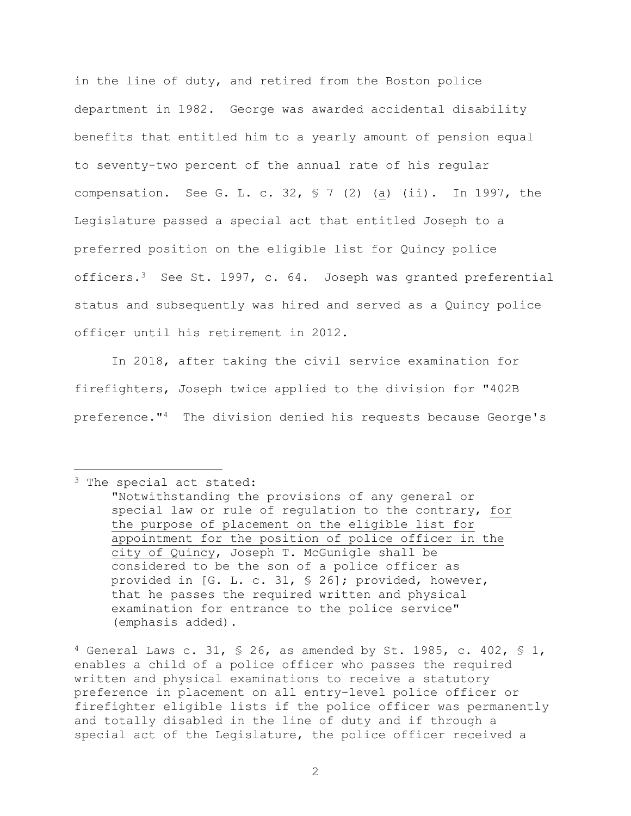in the line of duty, and retired from the Boston police department in 1982. George was awarded accidental disability benefits that entitled him to a yearly amount of pension equal to seventy-two percent of the annual rate of his regular compensation. See G. L. c. 32,  $\frac{1}{2}$  (2) (a) (ii). In 1997, the Legislature passed a special act that entitled Joseph to a preferred position on the eligible list for Quincy police officers.<sup>3</sup> See St. 1997, c. 64. Joseph was granted preferential status and subsequently was hired and served as a Quincy police officer until his retirement in 2012.

In 2018, after taking the civil service examination for firefighters, Joseph twice applied to the division for "402B preference."4 The division denied his requests because George's

<sup>3</sup> The special act stated:

 $4$  General Laws c. 31, § 26, as amended by St. 1985, c. 402, § 1, enables a child of a police officer who passes the required written and physical examinations to receive a statutory preference in placement on all entry-level police officer or firefighter eligible lists if the police officer was permanently and totally disabled in the line of duty and if through a special act of the Legislature, the police officer received a

<sup>&</sup>quot;Notwithstanding the provisions of any general or special law or rule of regulation to the contrary, for the purpose of placement on the eligible list for appointment for the position of police officer in the city of Quincy, Joseph T. McGunigle shall be considered to be the son of a police officer as provided in [G. L. c. 31, § 26]; provided, however, that he passes the required written and physical examination for entrance to the police service" (emphasis added).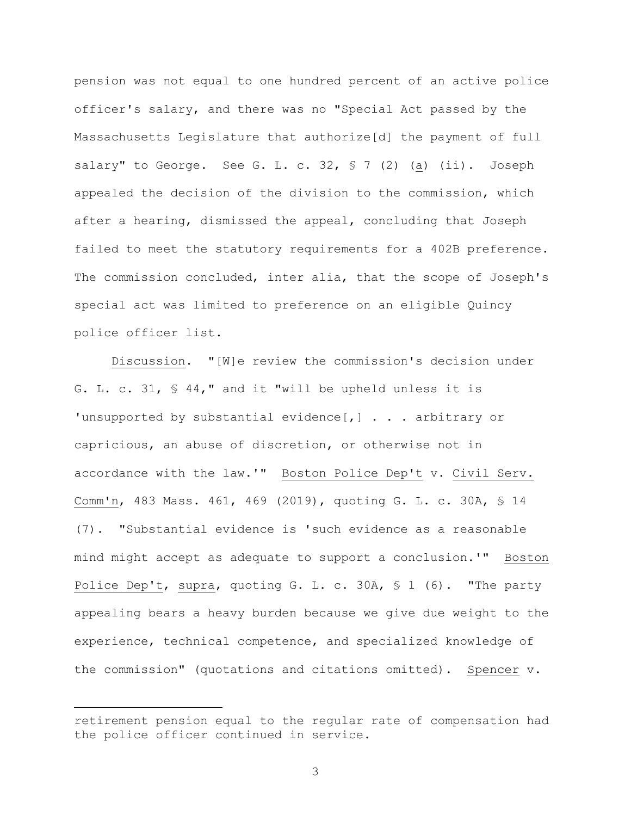pension was not equal to one hundred percent of an active police officer's salary, and there was no "Special Act passed by the Massachusetts Legislature that authorize[d] the payment of full salary" to George. See G. L. c. 32, § 7 (2) (a) (ii). Joseph appealed the decision of the division to the commission, which after a hearing, dismissed the appeal, concluding that Joseph failed to meet the statutory requirements for a 402B preference. The commission concluded, inter alia, that the scope of Joseph's special act was limited to preference on an eligible Quincy police officer list.

Discussion. "[W]e review the commission's decision under G. L. c. 31, § 44," and it "will be upheld unless it is 'unsupported by substantial evidence[,] . . . arbitrary or capricious, an abuse of discretion, or otherwise not in accordance with the law.'" Boston Police Dep't v. Civil Serv. Comm'n, 483 Mass. 461, 469 (2019), quoting G. L. c. 30A, § 14 (7). "Substantial evidence is 'such evidence as a reasonable mind might accept as adequate to support a conclusion.'" Boston Police Dep't, supra, quoting G. L. c. 30A, § 1 (6). "The party appealing bears a heavy burden because we give due weight to the experience, technical competence, and specialized knowledge of the commission" (quotations and citations omitted). Spencer v.

3

retirement pension equal to the regular rate of compensation had the police officer continued in service.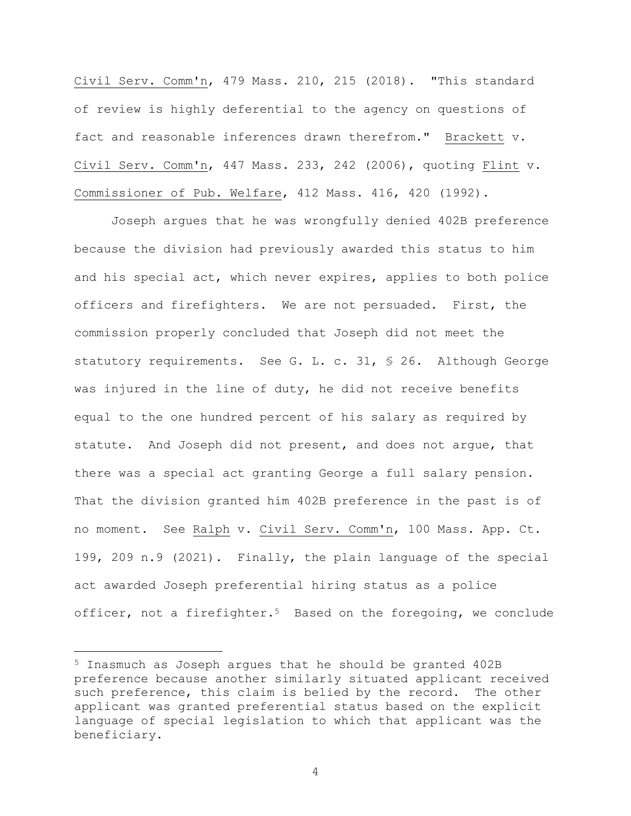Civil Serv. Comm'n, 479 Mass. 210, 215 (2018). "This standard of review is highly deferential to the agency on questions of fact and reasonable inferences drawn therefrom." Brackett v. Civil Serv. Comm'n, 447 Mass. 233, 242 (2006), quoting Flint v. Commissioner of Pub. Welfare, 412 Mass. 416, 420 (1992).

Joseph argues that he was wrongfully denied 402B preference because the division had previously awarded this status to him and his special act, which never expires, applies to both police officers and firefighters. We are not persuaded. First, the commission properly concluded that Joseph did not meet the statutory requirements. See G. L. c. 31, § 26. Although George was injured in the line of duty, he did not receive benefits equal to the one hundred percent of his salary as required by statute. And Joseph did not present, and does not argue, that there was a special act granting George a full salary pension. That the division granted him 402B preference in the past is of no moment. See Ralph v. Civil Serv. Comm'n, 100 Mass. App. Ct. 199, 209 n.9 (2021). Finally, the plain language of the special act awarded Joseph preferential hiring status as a police officer, not a firefighter.<sup>5</sup> Based on the foregoing, we conclude

4

<sup>5</sup> Inasmuch as Joseph argues that he should be granted 402B preference because another similarly situated applicant received such preference, this claim is belied by the record. The other applicant was granted preferential status based on the explicit language of special legislation to which that applicant was the beneficiary.